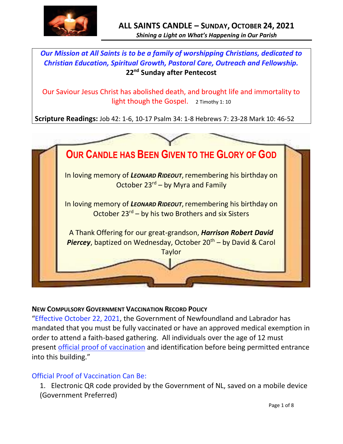

# *Our Mission at All Saints is to be a family of worshipping Christians, dedicated to Christian Education, Spiritual Growth, Pastoral Care, Outreach and Fellowship.* **22 nd Sunday after Pentecost**

Our Saviour Jesus Christ has abolished death, and brought life and immortality to light though the Gospel. 2 Timothy 1: 10

**Scripture Readings:** Job 42: 1-6, 10-17 Psalm 34: 1-8 Hebrews 7: 23-28 Mark 10: 46-52



### **NEW COMPULSORY GOVERNMENT VACCINATION RECORD POLICY**

"Effective October 22, 2021, the Government of Newfoundland and Labrador has mandated that you must be fully vaccinated or have an approved medical exemption in order to attend a faith-based gathering. All individuals over the age of 12 must present official proof of vaccination and identification before being permitted entrance into this building."

### Official Proof of Vaccination Can Be:

1. Electronic QR code provided by the Government of NL, saved on a mobile device (Government Preferred)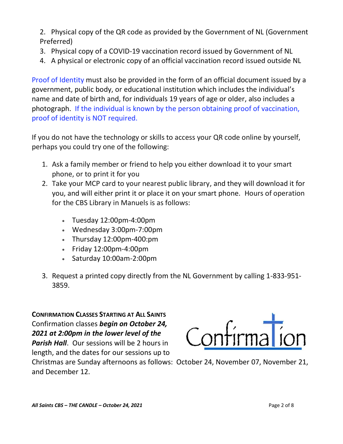2. Physical copy of the QR code as provided by the Government of NL (Government Preferred)

- 3. Physical copy of a COVID-19 vaccination record issued by Government of NL
- 4. A physical or electronic copy of an official vaccination record issued outside NL

Proof of Identity must also be provided in the form of an official document issued by a government, public body, or educational institution which includes the individual's name and date of birth and, for individuals 19 years of age or older, also includes a photograph. If the individual is known by the person obtaining proof of vaccination, proof of identity is NOT required.

If you do not have the technology or skills to access your QR code online by yourself, perhaps you could try one of the following:

- 1. Ask a family member or friend to help you either download it to your smart phone, or to print it for you
- 2. Take your MCP card to your nearest public library, and they will download it for you, and will either print it or place it on your smart phone. Hours of operation for the CBS Library in Manuels is as follows:
	- Tuesday 12:00pm-4:00pm
	- Wednesday 3:00pm-7:00pm
	- Thursday 12:00pm-400:pm
	- Friday 12:00pm-4:00pm
	- Saturday 10:00am-2:00pm
- 3. Request a printed copy directly from the NL Government by calling 1-833-951- 3859.

**CONFIRMATION CLASSES STARTING AT ALL SAINTS** Confirmation classes *begin on October 24, 2021 at 2:00pm in the lower level of the Parish Hall*. Our sessions will be 2 hours in

length, and the dates for our sessions up to



Christmas are Sunday afternoons as follows: October 24, November 07, November 21, and December 12.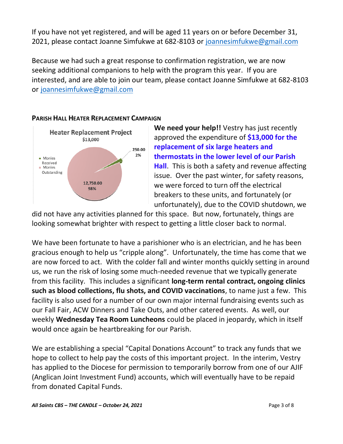If you have not yet registered, and will be aged 11 years on or before December 31, 2021, please contact Joanne Simfukwe at 682-8103 or [joannesimfukwe@gmail.com](mailto:joannesimfukwe@gmail.com)

Because we had such a great response to confirmation registration, we are now seeking additional companions to help with the program this year. If you are interested, and are able to join our team, please contact Joanne Simfukwe at 682-8103 or [joannesimfukwe@gmail.com](mailto:joannesimfukwe@gmail.com)

#### **PARISH HALL HEATER REPLACEMENT CAMPAIGN**



**We need your help!!** Vestry has just recently approved the expenditure of **\$13,000 for the replacement of six large heaters and thermostats in the lower level of our Parish Hall**. This is both a safety and revenue affecting issue. Over the past winter, for safety reasons, we were forced to turn off the electrical breakers to these units, and fortunately (or unfortunately), due to the COVID shutdown, we

did not have any activities planned for this space. But now, fortunately, things are looking somewhat brighter with respect to getting a little closer back to normal.

We have been fortunate to have a parishioner who is an electrician, and he has been gracious enough to help us "cripple along". Unfortunately, the time has come that we are now forced to act. With the colder fall and winter months quickly setting in around us, we run the risk of losing some much-needed revenue that we typically generate from this facility. This includes a significant **long-term rental contract, ongoing clinics such as blood collections, flu shots, and COVID vaccinations**, to name just a few. This facility is also used for a number of our own major internal fundraising events such as our Fall Fair, ACW Dinners and Take Outs, and other catered events. As well, our weekly **Wednesday Tea Room Luncheons** could be placed in jeopardy, which in itself would once again be heartbreaking for our Parish.

We are establishing a special "Capital Donations Account" to track any funds that we hope to collect to help pay the costs of this important project. In the interim, Vestry has applied to the Diocese for permission to temporarily borrow from one of our AJIF (Anglican Joint Investment Fund) accounts, which will eventually have to be repaid from donated Capital Funds.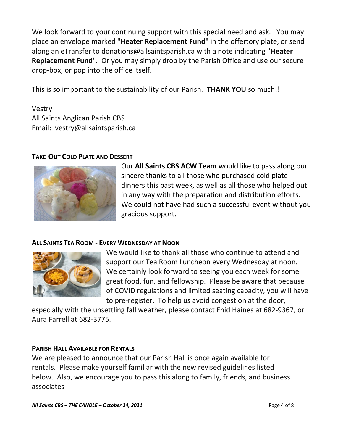We look forward to your continuing support with this special need and ask. You may place an envelope marked "**Heater Replacement Fund**" in the offertory plate, or send along an eTransfer to donations@allsaintsparish.ca with a note indicating "**Heater Replacement Fund**". Or you may simply drop by the Parish Office and use our secure drop-box, or pop into the office itself.

This is so important to the sustainability of our Parish. **THANK YOU** so much!!

Vestry All Saints Anglican Parish CBS Email: vestry@allsaintsparish.ca

### **TAKE-OUT COLD PLATE AND DESSERT**



Our **All Saints CBS ACW Team** would like to pass along our sincere thanks to all those who purchased cold plate dinners this past week, as well as all those who helped out in any way with the preparation and distribution efforts. We could not have had such a successful event without you gracious support.

### **ALL SAINTS TEA ROOM - EVERY WEDNESDAY AT NOON**



We would like to thank all those who continue to attend and support our Tea Room Luncheon every Wednesday at noon. We certainly look forward to seeing you each week for some great food, fun, and fellowship. Please be aware that because of COVID regulations and limited seating capacity, you will have to pre-register. To help us avoid congestion at the door,

especially with the unsettling fall weather, please contact Enid Haines at 682-9367, or Aura Farrell at 682-3775.

### **PARISH HALL AVAILABLE FOR RENTALS**

We are pleased to announce that our Parish Hall is once again available for rentals. Please make yourself familiar with the new revised guidelines listed below. Also, we encourage you to pass this along to family, friends, and business associates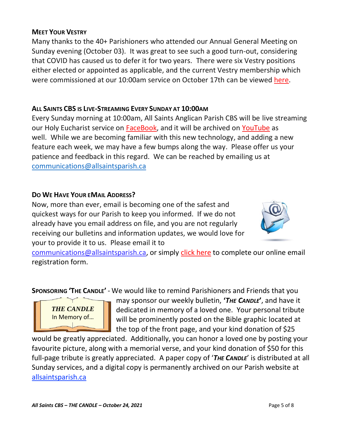*THE CANDLE* In Memory of…

# **MEET YOUR VESTRY**

Many thanks to the 40+ Parishioners who attended our Annual General Meeting on Sunday evening (October 03). It was great to see such a good turn-out, considering that COVID has caused us to defer it for two years. There were six Vestry positions either elected or appointed as applicable, and the current Vestry membership which were commissioned at our 10:00am service on October 17th can be viewed [here.](http://allsaintsparish.ca/document_library/All%20Saints%20Vestry%20Membership%20211003.pdf)

# **ALL SAINTS CBS IS LIVE-STREAMING EVERY SUNDAY AT 10:00AM**

Every Sunday morning at 10:00am, All Saints Anglican Parish CBS will be live streaming our Holy Eucharist service on [FaceBook,](https://www.facebook.com/AllSaintsAnglicanChurchCBS) and it will be archived on [YouTube](https://www.youtube.com/results?search_query=all+saints+anglican+parish+cbs) as well. While we are becoming familiar with this new technology, and adding a new feature each week, we may have a few bumps along the way. Please offer us your patience and feedback in this regard. We can be reached by emailing us at [communications@allsaintsparish.ca](mailto:communications@allsaintsparish.ca?subject=Live%20Streaming%20Feedback)

# **DO WE HAVE YOUR EMAIL ADDRESS?**

Now, more than ever, email is becoming one of the safest and quickest ways for our Parish to keep you informed. If we do not already have you email address on file, and you are not regularly receiving our bulletins and information updates, we would love for your to provide it to us. Please email it to

[communications@allsaintsparish.ca,](mailto:communications@allsaintsparish.ca?subject=eMail%20Address%20Update) or simply [click here](http://allsaintsparish.ca/email_updates) to complete our online email registration form.

**SPONSORING 'THE CANDLE'** - We would like to remind Parishioners and Friends that you

may sponsor our weekly bulletin, **'***THE CANDLE***'**, and have it dedicated in memory of a loved one. Your personal tribute will be prominently posted on the Bible graphic located at the top of the front page, and your kind donation of \$25

would be greatly appreciated. Additionally, you can honor a loved one by posting your favourite picture, along with a memorial verse, and your kind donation of \$50 for this full-page tribute is greatly appreciated. A paper copy of '*THE CANDLE*' is distributed at all Sunday services, and a digital copy is permanently archived on our Parish website at [allsaintsparish.ca](http://allsaintsparish.ca/thecandle.html)

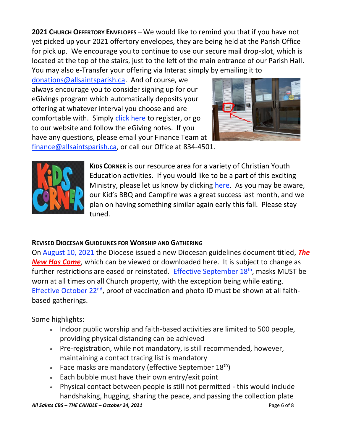**2021 CHURCH OFFERTORY ENVELOPES** – We would like to remind you that if you have not yet picked up your 2021 offertory envelopes, they are being held at the Parish Office for pick up. We encourage you to continue to use our secure mail drop-slot, which is located at the top of the stairs, just to the left of the main entrance of our Parish Hall. You may also e-Transfer your offering via Interac simply by emailing it to

[donations@allsaintsparish.ca.](mailto:donations@allsaintsparish.ca) And of course, we always encourage you to consider signing up for our eGivings program which automatically deposits your offering at whatever interval you choose and are comfortable with. Simply [click here](http://allsaintsparish.ca/egiving-online-information-form) to register, or go to our website and follow the eGiving notes. If you have [any](https://wfsites-to.websitecreatorprotool.com/870a5dd5.com/Admin/%7BSK_NODEID__22939341__SK%7D) questions, please email your Finance Team at



[finance@allsaintsparish.ca,](mailto:finance@allsaintsparish.ca) or call our Office at 834-4501.



**KIDS CORNER** is our resource area for a variety of Christian Youth Education activities. If you would like to be a part of this exciting Ministry, please let us know by clicking [here.](http://allsaintsparish.ca/index.html#comments) As you may be aware, our Kid's BBQ and Campfire was a great success last month, and we plan on having something similar again early this fall. Please stay tuned.

## **REVISED DIOCESAN GUIDELINES FOR WORSHIP AND GATHERING**

On August 10, 2021 the Diocese issued a new Diocesan guidelines document titled, *[The](https://anglicanenl.net/home/wp-content/uploads/2021/08/The-New-Has-Come-August-10-2021.pdf?fbclid=IwAR2_9nhbxB2LEc3XOqAP_nvoRu4G5Mt6NWIYwOEYNI0OtUl0atv2QwCfCY0)  [New Has Come](https://anglicanenl.net/home/wp-content/uploads/2021/08/The-New-Has-Come-August-10-2021.pdf?fbclid=IwAR2_9nhbxB2LEc3XOqAP_nvoRu4G5Mt6NWIYwOEYNI0OtUl0atv2QwCfCY0)*, which can be viewed or downloaded here. It is subject to change as further restrictions are eased or reinstated. Effective September  $18<sup>th</sup>$ , masks MUST be worn at all times on all Church property, with the exception being while eating. Effective October 22<sup>nd</sup>, proof of vaccination and photo ID must be shown at all faithbased gatherings.

Some highlights:

- Indoor public worship and faith-based activities are limited to 500 people, providing physical distancing can be achieved
- Pre-registration, while not mandatory, is still recommended, however, maintaining a contact tracing list is mandatory
- Face masks are mandatory (effective September  $18<sup>th</sup>$ )
- Each bubble must have their own entry/exit point
- Physical contact between people is still not permitted this would include handshaking, hugging, sharing the peace, and passing the collection plate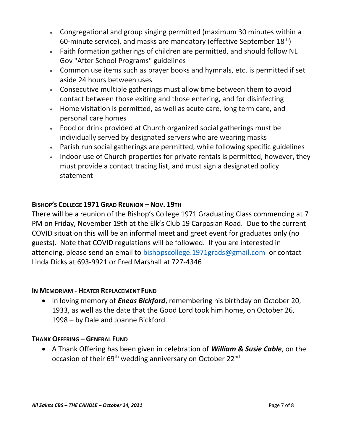- Congregational and group singing permitted (maximum 30 minutes within a 60-minute service), and masks are mandatory (effective September  $18<sup>th</sup>$ )
- Faith formation gatherings of children are permitted, and should follow NL Gov "After School Programs" guidelines
- Common use items such as prayer books and hymnals, etc. is permitted if set aside 24 hours between uses
- Consecutive multiple gatherings must allow time between them to avoid contact between those exiting and those entering, and for disinfecting
- Home visitation is permitted, as well as acute care, long term care, and personal care homes
- Food or drink provided at Church organized social gatherings must be individually served by designated servers who are wearing masks
- Parish run social gatherings are permitted, while following specific guidelines
- Indoor use of Church properties for private rentals is permitted, however, they must provide a contact tracing list, and must sign a designated policy statement

### **BISHOP'S COLLEGE 1971 GRAD REUNION – NOV. 19TH**

There will be a reunion of the Bishop's College 1971 Graduating Class commencing at 7 PM on Friday, November 19th at the Elk's Club 19 Carpasian Road. Due to the current COVID situation this will be an informal meet and greet event for graduates only (no guests). Note that COVID regulations will be followed. If you are interested in attending, please send an email to [bishopscollege.1971grads@gmail.com](mailto:bishopscollege.1971grads@gmail.com) or contact Linda Dicks at 693-9921 or Fred Marshall at 727-4346

### **IN MEMORIAM - HEATER REPLACEMENT FUND**

• In loving memory of *Eneas Bickford*, remembering his birthday on October 20, 1933, as well as the date that the Good Lord took him home, on October 26, 1998 – by Dale and Joanne Bickford

#### **THANK OFFERING – GENERAL FUND**

• A Thank Offering has been given in celebration of *William & Susie Cable*, on the occasion of their 69<sup>th</sup> wedding anniversary on October 22<sup>nd</sup>